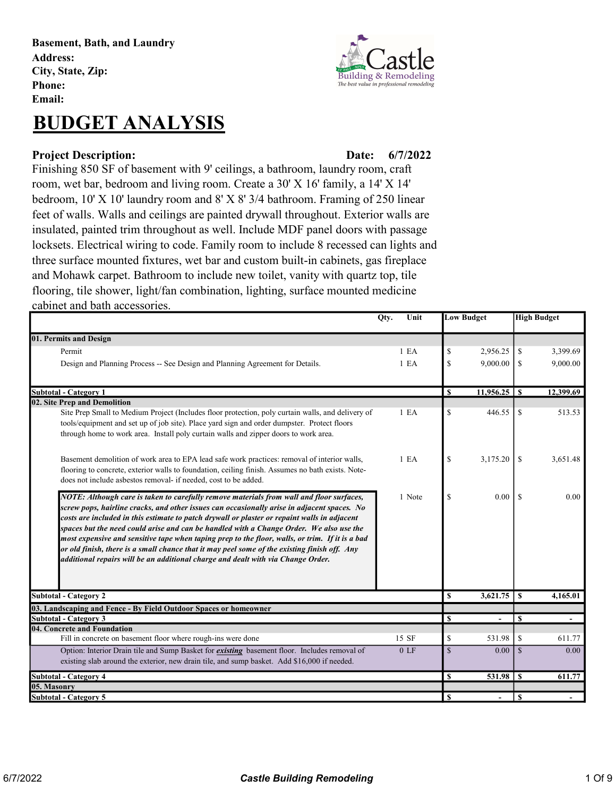Basement, Bath, and Laundry Address: City, State, Zip: Phone: Email:

# BUDGET ANALYSIS

#### Project Description: Date:

Building & Remodeling The best value in professional remoc

### 6/7/2022

Finishing 850 SF of basement with 9' ceilings, a bathroom, laundry room, craft room, wet bar, bedroom and living room. Create a 30' X 16' family, a 14' X 14' bedroom, 10' X 10' laundry room and 8' X 8' 3/4 bathroom. Framing of 250 linear feet of walls. Walls and ceilings are painted drywall throughout. Exterior walls are insulated, painted trim throughout as well. Include MDF panel doors with passage locksets. Electrical wiring to code. Family room to include 8 recessed can lights and three surface mounted fixtures, wet bar and custom built-in cabinets, gas fireplace and Mohawk carpet. Bathroom to include new toilet, vanity with quartz top, tile flooring, tile shower, light/fan combination, lighting, surface mounted medicine cabinet and bath accessories.

|                                                                                                                                                                                                                                                                                                                                                                                                                                                                                                                                                                                                                                                                           | Unit<br>Qty.     | <b>Low Budget</b> |                                    | <b>High Budget</b> |           |
|---------------------------------------------------------------------------------------------------------------------------------------------------------------------------------------------------------------------------------------------------------------------------------------------------------------------------------------------------------------------------------------------------------------------------------------------------------------------------------------------------------------------------------------------------------------------------------------------------------------------------------------------------------------------------|------------------|-------------------|------------------------------------|--------------------|-----------|
| 01. Permits and Design                                                                                                                                                                                                                                                                                                                                                                                                                                                                                                                                                                                                                                                    |                  |                   |                                    |                    |           |
| Permit                                                                                                                                                                                                                                                                                                                                                                                                                                                                                                                                                                                                                                                                    | 1 E <sub>A</sub> | \$                | 2.956.25                           | \$                 | 3,399.69  |
| Design and Planning Process -- See Design and Planning Agreement for Details.                                                                                                                                                                                                                                                                                                                                                                                                                                                                                                                                                                                             | 1 E <sub>A</sub> | \$                | 9,000.00                           | <sup>\$</sup>      | 9,000.00  |
| <b>Subtotal - Category 1</b>                                                                                                                                                                                                                                                                                                                                                                                                                                                                                                                                                                                                                                              |                  | $\mathbf{s}$      |                                    |                    | 12,399.69 |
| 02. Site Prep and Demolition                                                                                                                                                                                                                                                                                                                                                                                                                                                                                                                                                                                                                                              |                  |                   |                                    |                    |           |
| Site Prep Small to Medium Project (Includes floor protection, poly curtain walls, and delivery of<br>tools/equipment and set up of job site). Place yard sign and order dumpster. Protect floors<br>through home to work area. Install poly curtain walls and zipper doors to work area.                                                                                                                                                                                                                                                                                                                                                                                  | 1 E <sub>A</sub> | \$                | 446.55                             | \$                 | 513.53    |
| Basement demolition of work area to EPA lead safe work practices: removal of interior walls,<br>flooring to concrete, exterior walls to foundation, ceiling finish. Assumes no bath exists. Note-<br>does not include asbestos removal- if needed, cost to be added.                                                                                                                                                                                                                                                                                                                                                                                                      | 1 <sub>E</sub> A | \$                | 3.175.20                           | <sup>\$</sup>      | 3.651.48  |
| NOTE: Although care is taken to carefully remove materials from wall and floor surfaces,<br>screw pops, hairline cracks, and other issues can occasionally arise in adjacent spaces. No<br>costs are included in this estimate to patch drywall or plaster or repaint walls in adjacent<br>spaces but the need could arise and can be handled with a Change Order. We also use the<br>most expensive and sensitive tape when taping prep to the floor, walls, or trim. If it is a bad<br>or old finish, there is a small chance that it may peel some of the existing finish off. Any<br>additional repairs will be an additional charge and dealt with via Change Order. | 1 Note           | \$                | 0.00                               | -S                 | 0.00      |
| <b>Subtotal - Category 2</b>                                                                                                                                                                                                                                                                                                                                                                                                                                                                                                                                                                                                                                              |                  | $\mathbf S$       | 3,621.75                           | $\mathbf{s}$       | 4,165.01  |
| 03. Landscaping and Fence - By Field Outdoor Spaces or homeowner                                                                                                                                                                                                                                                                                                                                                                                                                                                                                                                                                                                                          |                  |                   |                                    |                    |           |
| <b>Subtotal - Category 3</b>                                                                                                                                                                                                                                                                                                                                                                                                                                                                                                                                                                                                                                              |                  | <b>S</b>          |                                    | $\mathbf{s}$       |           |
| 04. Concrete and Foundation                                                                                                                                                                                                                                                                                                                                                                                                                                                                                                                                                                                                                                               |                  |                   |                                    |                    |           |
| Fill in concrete on basement floor where rough-ins were done                                                                                                                                                                                                                                                                                                                                                                                                                                                                                                                                                                                                              | 15 SF            | \$                | 531.98                             | \$                 | 611.77    |
| Option: Interior Drain tile and Sump Basket for <i>existing</i> basement floor. Includes removal of                                                                                                                                                                                                                                                                                                                                                                                                                                                                                                                                                                       | 0 <sub>LF</sub>  | $\mathbb{S}$      | 0.00                               | $\mathcal{S}$      | 0.00      |
| existing slab around the exterior, new drain tile, and sump basket. Add \$16,000 if needed.                                                                                                                                                                                                                                                                                                                                                                                                                                                                                                                                                                               |                  |                   |                                    |                    |           |
| <b>Subtotal - Category 4</b>                                                                                                                                                                                                                                                                                                                                                                                                                                                                                                                                                                                                                                              |                  | \$                | $531.98$ $\overline{\phantom{1}8}$ |                    | 611.77    |
| 05. Masonry                                                                                                                                                                                                                                                                                                                                                                                                                                                                                                                                                                                                                                                               |                  |                   |                                    |                    |           |
| Subtotal - Category 5                                                                                                                                                                                                                                                                                                                                                                                                                                                                                                                                                                                                                                                     |                  | <sup>S</sup>      | $\overline{\phantom{a}}$           | <b>S</b>           |           |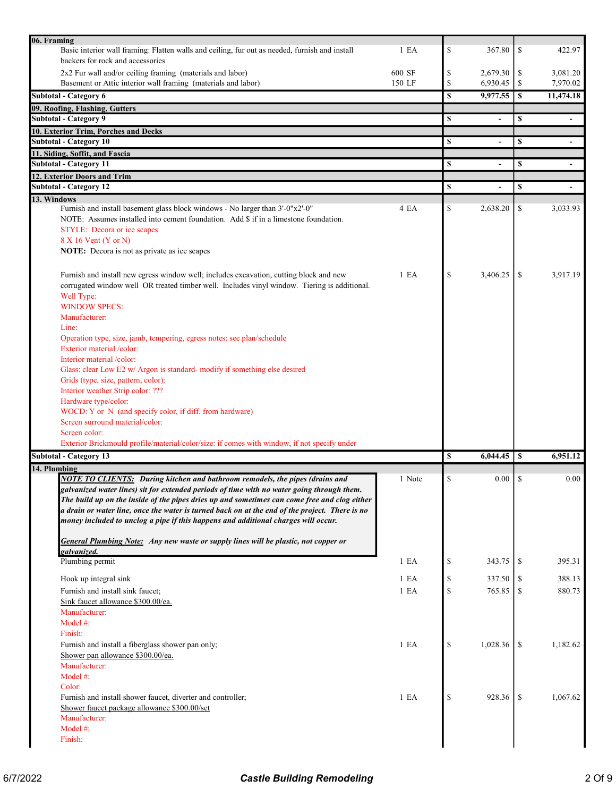| 06. Framing                                                                                                                                                                                                                                                                                                                                                                                                                                                                                                                                                             |        |          |          |               |           |
|-------------------------------------------------------------------------------------------------------------------------------------------------------------------------------------------------------------------------------------------------------------------------------------------------------------------------------------------------------------------------------------------------------------------------------------------------------------------------------------------------------------------------------------------------------------------------|--------|----------|----------|---------------|-----------|
| Basic interior wall framing: Flatten walls and ceiling, fur out as needed, furnish and install                                                                                                                                                                                                                                                                                                                                                                                                                                                                          | 1 E A  | \$       | 367.80   | \$            | 422.97    |
| backers for rock and accessories                                                                                                                                                                                                                                                                                                                                                                                                                                                                                                                                        |        |          |          |               |           |
| 2x2 Fur wall and/or ceiling framing (materials and labor)                                                                                                                                                                                                                                                                                                                                                                                                                                                                                                               | 600 SF | \$       | 2,679.30 | \$            | 3,081.20  |
| Basement or Attic interior wall framing (materials and labor)                                                                                                                                                                                                                                                                                                                                                                                                                                                                                                           | 150 LF | \$       | 6,930.45 | \$            | 7,970.02  |
| Subtotal - Category 6                                                                                                                                                                                                                                                                                                                                                                                                                                                                                                                                                   |        | \$       | 9,977.55 | $\mathbf s$   | 11,474.18 |
| 09. Roofing, Flashing, Gutters                                                                                                                                                                                                                                                                                                                                                                                                                                                                                                                                          |        |          |          |               |           |
| <b>Subtotal - Category 9</b>                                                                                                                                                                                                                                                                                                                                                                                                                                                                                                                                            |        | \$       |          | \$            |           |
| 10. Exterior Trim, Porches and Decks                                                                                                                                                                                                                                                                                                                                                                                                                                                                                                                                    |        |          |          |               |           |
| <b>Subtotal - Category 10</b>                                                                                                                                                                                                                                                                                                                                                                                                                                                                                                                                           |        | S        |          | \$            |           |
| 11. Siding, Soffit, and Fascia                                                                                                                                                                                                                                                                                                                                                                                                                                                                                                                                          |        |          |          |               |           |
| <b>Subtotal - Category 11</b>                                                                                                                                                                                                                                                                                                                                                                                                                                                                                                                                           |        | \$       |          | \$            |           |
| 12. Exterior Doors and Trim                                                                                                                                                                                                                                                                                                                                                                                                                                                                                                                                             |        |          |          |               |           |
| <b>Subtotal - Category 12</b>                                                                                                                                                                                                                                                                                                                                                                                                                                                                                                                                           |        | \$       |          | \$            | $\sim$    |
| 13. Windows                                                                                                                                                                                                                                                                                                                                                                                                                                                                                                                                                             |        |          |          |               |           |
| Furnish and install basement glass block windows - No larger than 3'-0"x2'-0"                                                                                                                                                                                                                                                                                                                                                                                                                                                                                           | 4 EA   | \$       | 2,638.20 | \$            | 3,033.93  |
| NOTE: Assumes installed into cement foundation. Add \$ if in a limestone foundation.<br>STYLE: Decora or ice scapes.                                                                                                                                                                                                                                                                                                                                                                                                                                                    |        |          |          |               |           |
| 8 X 16 Vent (Y or N)                                                                                                                                                                                                                                                                                                                                                                                                                                                                                                                                                    |        |          |          |               |           |
| NOTE: Decora is not as private as ice scapes                                                                                                                                                                                                                                                                                                                                                                                                                                                                                                                            |        |          |          |               |           |
|                                                                                                                                                                                                                                                                                                                                                                                                                                                                                                                                                                         |        |          |          |               |           |
| Furnish and install new egress window well; includes excavation, cutting block and new<br>corrugated window well OR treated timber well. Includes vinyl window. Tiering is additional.<br>Well Type:<br><b>WINDOW SPECS:</b>                                                                                                                                                                                                                                                                                                                                            | 1 E A  | \$       | 3.406.25 | <sup>\$</sup> | 3.917.19  |
| Manufacturer:                                                                                                                                                                                                                                                                                                                                                                                                                                                                                                                                                           |        |          |          |               |           |
| Line:                                                                                                                                                                                                                                                                                                                                                                                                                                                                                                                                                                   |        |          |          |               |           |
| Operation type, size, jamb, tempering, egress notes: see plan/schedule                                                                                                                                                                                                                                                                                                                                                                                                                                                                                                  |        |          |          |               |           |
| Exterior material /color:                                                                                                                                                                                                                                                                                                                                                                                                                                                                                                                                               |        |          |          |               |           |
| Interior material/color:                                                                                                                                                                                                                                                                                                                                                                                                                                                                                                                                                |        |          |          |               |           |
| Glass: clear Low E2 w/ Argon is standard- modify if something else desired<br>Grids (type, size, pattern, color):<br>Interior weather Strip color: ???                                                                                                                                                                                                                                                                                                                                                                                                                  |        |          |          |               |           |
| Hardware type/color:                                                                                                                                                                                                                                                                                                                                                                                                                                                                                                                                                    |        |          |          |               |           |
| WOCD: Y or N (and specify color, if diff. from hardware)                                                                                                                                                                                                                                                                                                                                                                                                                                                                                                                |        |          |          |               |           |
| Screen surround material/color:                                                                                                                                                                                                                                                                                                                                                                                                                                                                                                                                         |        |          |          |               |           |
| Screen color:                                                                                                                                                                                                                                                                                                                                                                                                                                                                                                                                                           |        |          |          |               |           |
| Exterior Brickmould profile/material/color/size: if comes with window, if not specify under                                                                                                                                                                                                                                                                                                                                                                                                                                                                             |        |          |          |               |           |
| <b>Subtotal - Category 13</b>                                                                                                                                                                                                                                                                                                                                                                                                                                                                                                                                           |        | <b>S</b> | 6,044.45 | -S            | 6,951.12  |
| 14. Plumbing                                                                                                                                                                                                                                                                                                                                                                                                                                                                                                                                                            |        |          |          |               |           |
| <b>NOTE TO CLIENTS:</b> During kitchen and bathroom remodels, the pipes (drains and<br>galvanized water lines) sit for extended periods of time with no water going through them.<br>The build up on the inside of the pipes dries up and sometimes can come free and clog either<br>a drain or water line, once the water is turned back on at the end of the project. There is no<br>money included to unclog a pipe if this happens and additional charges will occur.<br><b>General Plumbing Note:</b> Any new waste or supply lines will be plastic, not copper or | 1 Note | \$       | 0.00     | \$            | 0.00      |
| galvanized.<br>Plumbing permit                                                                                                                                                                                                                                                                                                                                                                                                                                                                                                                                          | 1 E A  |          | 343.75   |               | 395.31    |
|                                                                                                                                                                                                                                                                                                                                                                                                                                                                                                                                                                         |        | \$       |          | -S            |           |
| Hook up integral sink                                                                                                                                                                                                                                                                                                                                                                                                                                                                                                                                                   | 1 E A  | \$       | 337.50   | \$            | 388.13    |
| Furnish and install sink faucet;                                                                                                                                                                                                                                                                                                                                                                                                                                                                                                                                        | 1 E A  | \$       | 765.85   | \$            | 880.73    |
| Sink faucet allowance \$300.00/ea.                                                                                                                                                                                                                                                                                                                                                                                                                                                                                                                                      |        |          |          |               |           |
| Manufacturer:                                                                                                                                                                                                                                                                                                                                                                                                                                                                                                                                                           |        |          |          |               |           |
| Model $#$ :<br>Finish:                                                                                                                                                                                                                                                                                                                                                                                                                                                                                                                                                  |        |          |          |               |           |
|                                                                                                                                                                                                                                                                                                                                                                                                                                                                                                                                                                         | 1 E A  | \$       | 1,028.36 |               | 1,182.62  |
| Furnish and install a fiberglass shower pan only;<br>Shower pan allowance \$300.00/ea.                                                                                                                                                                                                                                                                                                                                                                                                                                                                                  |        |          |          | <sup>\$</sup> |           |
| Manufacturer:                                                                                                                                                                                                                                                                                                                                                                                                                                                                                                                                                           |        |          |          |               |           |
| Model #:                                                                                                                                                                                                                                                                                                                                                                                                                                                                                                                                                                |        |          |          |               |           |
| Color:                                                                                                                                                                                                                                                                                                                                                                                                                                                                                                                                                                  |        |          |          |               |           |
| Furnish and install shower faucet, diverter and controller;                                                                                                                                                                                                                                                                                                                                                                                                                                                                                                             |        |          |          |               |           |
|                                                                                                                                                                                                                                                                                                                                                                                                                                                                                                                                                                         | 1 E A  | \$       | 928.36   | \$            | 1,067.62  |
| Shower faucet package allowance \$300.00/set<br>Manufacturer:                                                                                                                                                                                                                                                                                                                                                                                                                                                                                                           |        |          |          |               |           |
| Model #:<br>Finish:                                                                                                                                                                                                                                                                                                                                                                                                                                                                                                                                                     |        |          |          |               |           |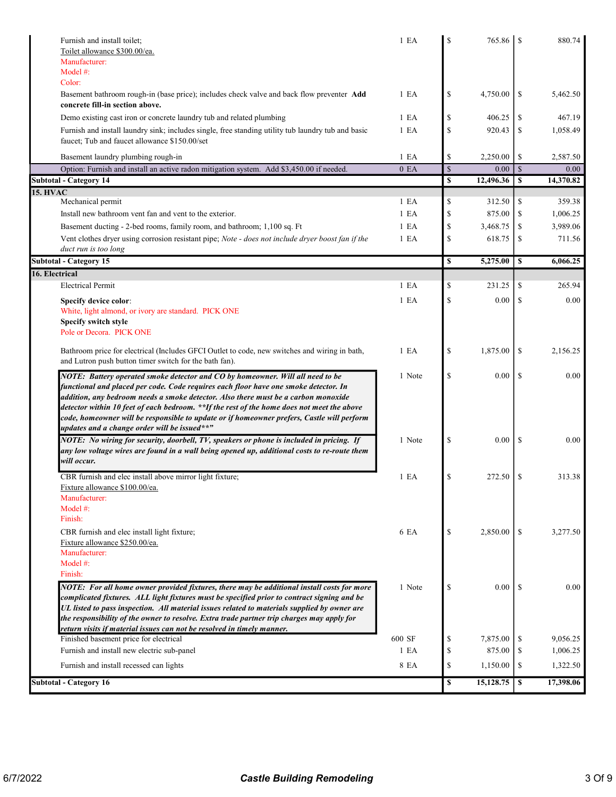| Furnish and install toilet;<br>Toilet allowance \$300.00/ea.<br>Manufacturer:<br>Model #:                                                                                                                                                                                                                                                                                                                                                                                                                | 1 E A            | S             | 765.86    |               | 880.74    |
|----------------------------------------------------------------------------------------------------------------------------------------------------------------------------------------------------------------------------------------------------------------------------------------------------------------------------------------------------------------------------------------------------------------------------------------------------------------------------------------------------------|------------------|---------------|-----------|---------------|-----------|
| Color:                                                                                                                                                                                                                                                                                                                                                                                                                                                                                                   |                  |               |           |               |           |
| Basement bathroom rough-in (base price); includes check valve and back flow preventer Add<br>concrete fill-in section above.                                                                                                                                                                                                                                                                                                                                                                             | 1 E A            | \$            | 4,750.00  | \$            | 5,462.50  |
| Demo existing cast iron or concrete laundry tub and related plumbing                                                                                                                                                                                                                                                                                                                                                                                                                                     | 1 E A            | \$            | 406.25    | \$            | 467.19    |
| Furnish and install laundry sink; includes single, free standing utility tub laundry tub and basic<br>faucet: Tub and faucet allowance \$150.00/set                                                                                                                                                                                                                                                                                                                                                      | 1 E <sub>A</sub> | \$            | 920.43    | \$            | 1,058.49  |
| Basement laundry plumbing rough-in                                                                                                                                                                                                                                                                                                                                                                                                                                                                       | 1 E A            | \$            | 2,250.00  | \$            | 2,587.50  |
| Option: Furnish and install an active radon mitigation system. Add \$3,450.00 if needed.                                                                                                                                                                                                                                                                                                                                                                                                                 | 0 E <sub>A</sub> | $\mathcal{S}$ | 0.00      | $\mathbf S$   | 0.00      |
| <b>Subtotal - Category 14</b>                                                                                                                                                                                                                                                                                                                                                                                                                                                                            |                  | \$            | 12,496.36 | \$            | 14,370.82 |
| <b>15. HVAC</b><br>Mechanical permit                                                                                                                                                                                                                                                                                                                                                                                                                                                                     | 1 E A            | \$            | 312.50    | \$            | 359.38    |
| Install new bathroom vent fan and vent to the exterior.                                                                                                                                                                                                                                                                                                                                                                                                                                                  | 1 E A            | \$            | 875.00    | \$            | 1,006.25  |
| Basement ducting - 2-bed rooms, family room, and bathroom; 1,100 sq. Ft                                                                                                                                                                                                                                                                                                                                                                                                                                  | 1 E A            | \$            | 3,468.75  | \$            | 3,989.06  |
| Vent clothes dryer using corrosion resistant pipe; Note - does not include dryer boost fan if the<br>duct run is too long                                                                                                                                                                                                                                                                                                                                                                                | 1 E A            | \$            | 618.75    | \$            | 711.56    |
| <b>Subtotal - Category 15</b>                                                                                                                                                                                                                                                                                                                                                                                                                                                                            |                  | \$            | 5,275.00  | \$            | 6,066.25  |
| 16. Electrical                                                                                                                                                                                                                                                                                                                                                                                                                                                                                           |                  |               |           |               |           |
| <b>Electrical Permit</b>                                                                                                                                                                                                                                                                                                                                                                                                                                                                                 | 1 E <sub>A</sub> | \$            | 231.25    | \$            | 265.94    |
| Specify device color:<br>White, light almond, or ivory are standard. PICK ONE                                                                                                                                                                                                                                                                                                                                                                                                                            | 1 E A            | $\mathbb{S}$  | 0.00      | \$            | 0.00      |
| Specify switch style<br>Pole or Decora. PICK ONE<br>Bathroom price for electrical (Includes GFCI Outlet to code, new switches and wiring in bath,                                                                                                                                                                                                                                                                                                                                                        | 1 E <sub>A</sub> | \$            | 1,875.00  | \$            | 2,156.25  |
| and Lutron push button timer switch for the bath fan).                                                                                                                                                                                                                                                                                                                                                                                                                                                   |                  |               |           |               |           |
| NOTE: Battery operated smoke detector and CO by homeowner. Will all need to be<br>functional and placed per code. Code requires each floor have one smoke detector. In<br>addition, any bedroom needs a smoke detector. Also there must be a carbon monoxide<br>detector within 10 feet of each bedroom. **If the rest of the home does not meet the above<br>code, homeowner will be responsible to update or if homeowner prefers, Castle will perform<br>updates and a change order will be issued**" | 1 Note           | \$            | 0.00      | \$            | 0.00      |
| NOTE: No wiring for security, doorbell, TV, speakers or phone is included in pricing. If<br>any low voltage wires are found in a wall being opened up, additional costs to re-route them<br>will occur.                                                                                                                                                                                                                                                                                                  | 1 Note           | $\mathbb{S}$  | 0.00      | <sup>\$</sup> | 0.00      |
| CBR furnish and elec install above mirror light fixture;<br>Fixture allowance \$100.00/ea.<br>Manufacturer:<br>Model #:                                                                                                                                                                                                                                                                                                                                                                                  | 1 E A            | $\mathbb{S}$  | 272.50    | S             | 313.38    |
| Finish:                                                                                                                                                                                                                                                                                                                                                                                                                                                                                                  |                  |               |           |               |           |
| CBR furnish and elec install light fixture;<br>Fixture allowance \$250.00/ea.<br>Manufacturer:<br>Model $#$ :<br>Finish:                                                                                                                                                                                                                                                                                                                                                                                 | 6 EA             | \$            | 2,850.00  | \$            | 3,277.50  |
| NOTE: For all home owner provided fixtures, there may be additional install costs for more<br>complicated fixtures. ALL light fixtures must be specified prior to contract signing and be<br>UL listed to pass inspection. All material issues related to materials supplied by owner are<br>the responsibility of the owner to resolve. Extra trade partner trip charges may apply for<br>return visits if material issues can not be resolved in timely manner.                                        | 1 Note           | \$            | 0.00      | -S            | 0.00      |
| Finished basement price for electrical                                                                                                                                                                                                                                                                                                                                                                                                                                                                   | 600 SF           | \$            | 7,875.00  | \$.           | 9,056.25  |
| Furnish and install new electric sub-panel                                                                                                                                                                                                                                                                                                                                                                                                                                                               | 1 E A            | \$            | 875.00    | \$            | 1,006.25  |
| Furnish and install recessed can lights                                                                                                                                                                                                                                                                                                                                                                                                                                                                  | 8 EA             | \$            | 1,150.00  | \$            | 1,322.50  |
| <b>Subtotal - Category 16</b>                                                                                                                                                                                                                                                                                                                                                                                                                                                                            |                  | \$            | 15,128.75 | $\mathbf s$   | 17,398.06 |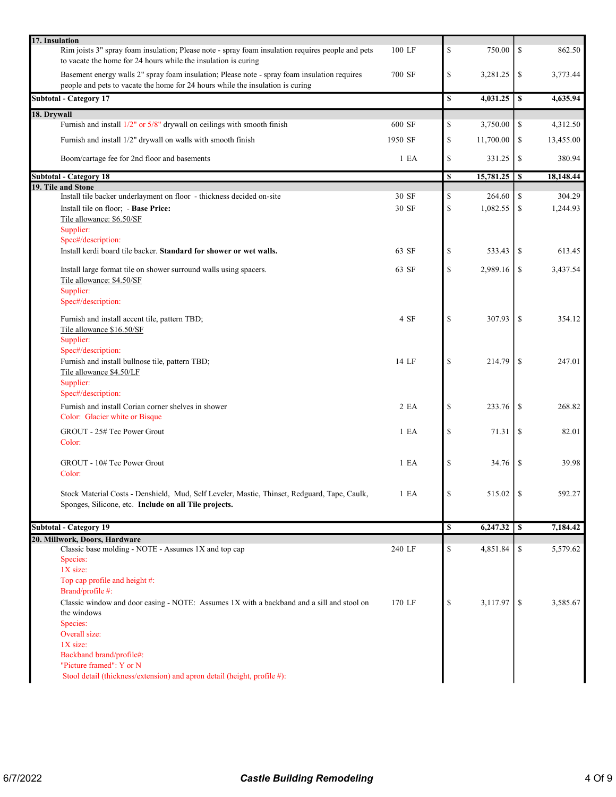| 17. Insulation                                                                                                                                                                 |                  |    |           |               |           |
|--------------------------------------------------------------------------------------------------------------------------------------------------------------------------------|------------------|----|-----------|---------------|-----------|
| Rim joists 3" spray foam insulation; Please note - spray foam insulation requires people and pets<br>to vacate the home for 24 hours while the insulation is curing            | 100 LF           | \$ | 750.00    | \$            | 862.50    |
| Basement energy walls 2" spray foam insulation; Please note - spray foam insulation requires<br>people and pets to vacate the home for 24 hours while the insulation is curing | 700 SF           | \$ | 3,281.25  | \$            | 3,773.44  |
| <b>Subtotal - Category 17</b>                                                                                                                                                  |                  | \$ | 4,031.25  | \$            | 4,635.94  |
| 18. Drywall                                                                                                                                                                    |                  |    |           |               |           |
| Furnish and install 1/2" or 5/8" drywall on ceilings with smooth finish                                                                                                        | 600 SF           | \$ | 3,750.00  | \$            | 4,312.50  |
| Furnish and install 1/2" drywall on walls with smooth finish                                                                                                                   | 1950 SF          | \$ | 11,700.00 | \$            | 13,455.00 |
| Boom/cartage fee for 2nd floor and basements                                                                                                                                   | 1 E A            | \$ | 331.25    | \$            | 380.94    |
| <b>Subtotal - Category 18</b>                                                                                                                                                  |                  | S  |           |               | 18,148.44 |
| 19. Tile and Stone                                                                                                                                                             |                  |    |           |               |           |
| Install tile backer underlayment on floor - thickness decided on-site                                                                                                          | 30 SF            | \$ | 264.60    | \$            | 304.29    |
| Install tile on floor; - Base Price:                                                                                                                                           | 30 SF            | \$ | 1,082.55  | \$            | 1,244.93  |
| Tile allowance: \$6.50/SF                                                                                                                                                      |                  |    |           |               |           |
| Supplier:                                                                                                                                                                      |                  |    |           |               |           |
| Spec#/description:                                                                                                                                                             |                  |    |           |               |           |
| Install kerdi board tile backer. Standard for shower or wet walls.                                                                                                             | 63 SF            | \$ | 533.43    | \$            | 613.45    |
| Install large format tile on shower surround walls using spacers.<br>Tile allowance: \$4.50/SF                                                                                 | 63 SF            | \$ | 2,989.16  | \$            | 3,437.54  |
| Supplier:                                                                                                                                                                      |                  |    |           |               |           |
| Spec#/description:                                                                                                                                                             |                  |    |           |               |           |
| Furnish and install accent tile, pattern TBD;                                                                                                                                  | 4 SF             | \$ | 307.93    | \$            | 354.12    |
| Tile allowance \$16.50/SF                                                                                                                                                      |                  |    |           |               |           |
| Supplier:<br>Spec#/description:                                                                                                                                                |                  |    |           |               |           |
| Furnish and install bullnose tile, pattern TBD;                                                                                                                                | 14 LF            | \$ | 214.79    | <sup>\$</sup> | 247.01    |
| Tile allowance \$4.50/LF                                                                                                                                                       |                  |    |           |               |           |
| Supplier:                                                                                                                                                                      |                  |    |           |               |           |
| Spec#/description:                                                                                                                                                             |                  |    |           |               |           |
| Furnish and install Corian corner shelves in shower                                                                                                                            | 2EA              | \$ | 233.76    | \$            | 268.82    |
| Color: Glacier white or Bisque                                                                                                                                                 |                  |    |           |               |           |
| GROUT - 25# Tec Power Grout                                                                                                                                                    | 1 E <sub>A</sub> | \$ | 71.31     | \$            | 82.01     |
| Color:                                                                                                                                                                         |                  |    |           |               |           |
|                                                                                                                                                                                |                  |    |           |               |           |
| GROUT - 10# Tec Power Grout                                                                                                                                                    | 1 E A            | \$ | 34.76     | \$            | 39.98     |
| Color:                                                                                                                                                                         |                  |    |           |               |           |
|                                                                                                                                                                                |                  |    |           |               |           |
| Stock Material Costs - Denshield, Mud, Self Leveler, Mastic, Thinset, Redguard, Tape, Caulk,                                                                                   | 1 E <sub>A</sub> | \$ | 515.02    | -\$           | 592.27    |
| Sponges, Silicone, etc. Include on all Tile projects.                                                                                                                          |                  |    |           |               |           |
|                                                                                                                                                                                |                  |    |           |               |           |
| <b>Subtotal - Category 19</b>                                                                                                                                                  |                  | \$ | 6,247.32  | $\sqrt{S}$    | 7,184.42  |
| 20. Millwork, Doors, Hardware                                                                                                                                                  |                  |    |           |               |           |
| Classic base molding - NOTE - Assumes 1X and top cap                                                                                                                           | 240 LF           | \$ | 4,851.84  | \$            | 5,579.62  |
| Species:                                                                                                                                                                       |                  |    |           |               |           |
| 1X size:                                                                                                                                                                       |                  |    |           |               |           |
| Top cap profile and height #:                                                                                                                                                  |                  |    |           |               |           |
| Brand/profile #:                                                                                                                                                               |                  |    |           |               |           |
| Classic window and door casing - NOTE: Assumes 1X with a backband and a sill and stool on                                                                                      | 170 LF           | \$ | 3,117.97  | -S            | 3,585.67  |
| the windows                                                                                                                                                                    |                  |    |           |               |           |
| Species:                                                                                                                                                                       |                  |    |           |               |           |
| Overall size:                                                                                                                                                                  |                  |    |           |               |           |
| $1X$ size:                                                                                                                                                                     |                  |    |           |               |           |
| Backband brand/profile#:                                                                                                                                                       |                  |    |           |               |           |
| "Picture framed": Y or N                                                                                                                                                       |                  |    |           |               |           |
| Stool detail (thickness/extension) and apron detail (height, profile #):                                                                                                       |                  |    |           |               |           |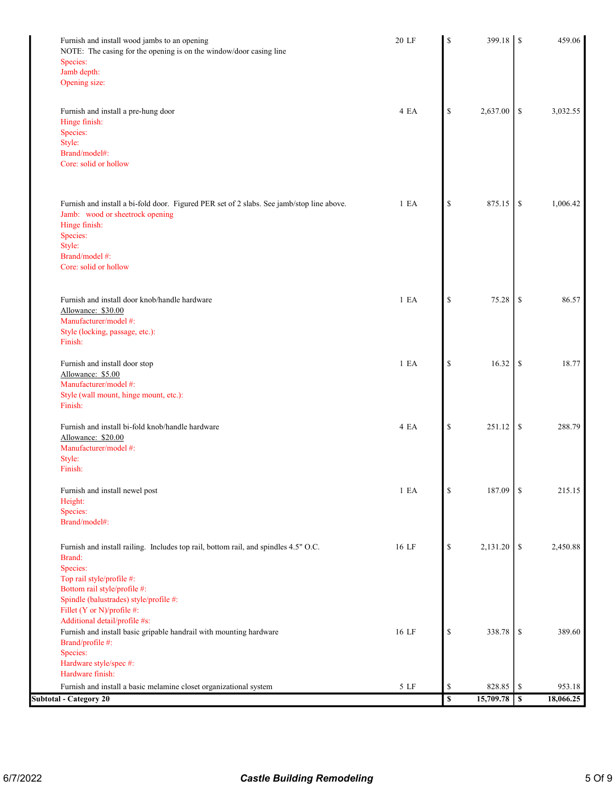| Furnish and install wood jambs to an opening                                              | 20 LF | \$                                                                    | 399.18    | S  | 459.06    |
|-------------------------------------------------------------------------------------------|-------|-----------------------------------------------------------------------|-----------|----|-----------|
| NOTE: The casing for the opening is on the window/door casing line                        |       |                                                                       |           |    |           |
| Species:<br>Jamb depth:                                                                   |       |                                                                       |           |    |           |
| Opening size:                                                                             |       |                                                                       |           |    |           |
|                                                                                           |       |                                                                       |           |    |           |
| Furnish and install a pre-hung door                                                       | 4 EA  | \$                                                                    | 2,637.00  | \$ | 3,032.55  |
| Hinge finish:                                                                             |       |                                                                       |           |    |           |
| Species:                                                                                  |       |                                                                       |           |    |           |
| Style:                                                                                    |       |                                                                       |           |    |           |
| Brand/model#:                                                                             |       |                                                                       |           |    |           |
| Core: solid or hollow                                                                     |       |                                                                       |           |    |           |
| Furnish and install a bi-fold door. Figured PER set of 2 slabs. See jamb/stop line above. | 1 E A | \$                                                                    | 875.15    | \$ | 1,006.42  |
| Jamb: wood or sheetrock opening                                                           |       |                                                                       |           |    |           |
| Hinge finish:                                                                             |       |                                                                       |           |    |           |
| Species:                                                                                  |       |                                                                       |           |    |           |
| Style:<br>Brand/model #:                                                                  |       |                                                                       |           |    |           |
| Core: solid or hollow                                                                     |       |                                                                       |           |    |           |
|                                                                                           |       |                                                                       |           |    |           |
| Furnish and install door knob/handle hardware                                             | 1 E A | $\mathbb{S}$                                                          | 75.28     | \$ | 86.57     |
| Allowance: \$30.00                                                                        |       |                                                                       |           |    |           |
| Manufacturer/model #:                                                                     |       |                                                                       |           |    |           |
| Style (locking, passage, etc.):                                                           |       |                                                                       |           |    |           |
| Finish:                                                                                   |       |                                                                       |           |    |           |
| Furnish and install door stop                                                             | 1 E A | $\mathbb{S}$                                                          | 16.32     | \$ | 18.77     |
| Allowance: \$5.00                                                                         |       |                                                                       |           |    |           |
| Manufacturer/model #:                                                                     |       |                                                                       |           |    |           |
| Style (wall mount, hinge mount, etc.):                                                    |       |                                                                       |           |    |           |
| Finish:                                                                                   |       |                                                                       |           |    |           |
| Furnish and install bi-fold knob/handle hardware                                          | 4 EA  | $\mathbb{S}% _{t}\left( t\right) \equiv\mathbb{S}_{t}\left( t\right)$ | 251.12    | \$ | 288.79    |
| Allowance: \$20.00                                                                        |       |                                                                       |           |    |           |
| Manufacturer/model #:                                                                     |       |                                                                       |           |    |           |
| Style:<br>Finish:                                                                         |       |                                                                       |           |    |           |
|                                                                                           |       |                                                                       |           |    |           |
| Furnish and install newel post                                                            | 1 E A | $\mathbb{S}% _{t}\left( t\right)$                                     | 187.09    | \$ | 215.15    |
| Height:                                                                                   |       |                                                                       |           |    |           |
| Species:<br>Brand/model#:                                                                 |       |                                                                       |           |    |           |
|                                                                                           |       |                                                                       |           |    |           |
| Furnish and install railing. Includes top rail, bottom rail, and spindles 4.5" O.C.       | 16 LF | $\mathbb{S}% _{t}\left( t\right)$                                     | 2,131.20  | \$ | 2,450.88  |
| Brand:                                                                                    |       |                                                                       |           |    |           |
| Species:                                                                                  |       |                                                                       |           |    |           |
| Top rail style/profile #:<br>Bottom rail style/profile #:                                 |       |                                                                       |           |    |           |
| Spindle (balustrades) style/profile #:                                                    |       |                                                                       |           |    |           |
| Fillet (Y or N)/profile #:                                                                |       |                                                                       |           |    |           |
| Additional detail/profile #s:                                                             |       |                                                                       |           |    |           |
| Furnish and install basic gripable handrail with mounting hardware                        | 16 LF | $\mathbb{S}% _{t}\left( t\right)$                                     | 338.78    | \$ | 389.60    |
| Brand/profile #:                                                                          |       |                                                                       |           |    |           |
| Species:                                                                                  |       |                                                                       |           |    |           |
| Hardware style/spec #:                                                                    |       |                                                                       |           |    |           |
| Hardware finish:                                                                          |       |                                                                       |           |    |           |
| Furnish and install a basic melamine closet organizational system                         | 5 LF  | \$                                                                    | 828.85    | \$ | 953.18    |
| <b>Subtotal - Category 20</b>                                                             |       | $\overline{\mathbf{s}}$                                               | 15,709.78 | \$ | 18,066.25 |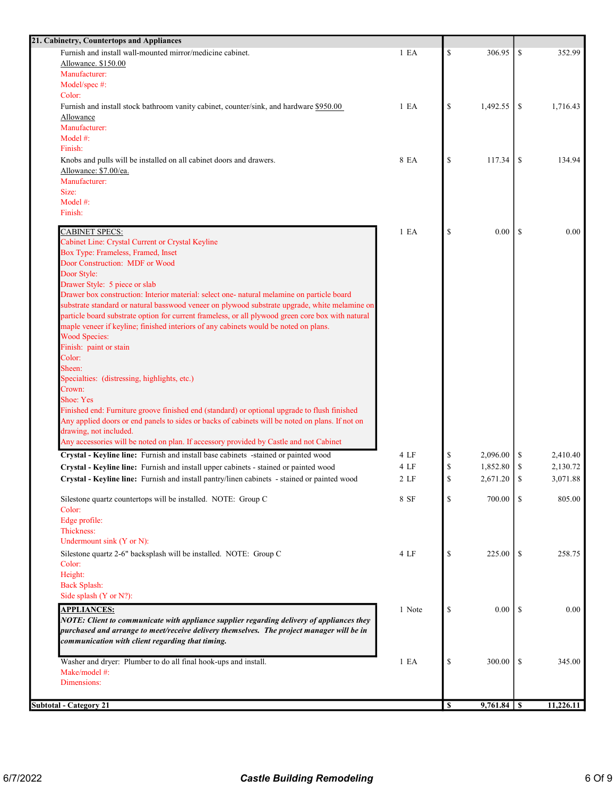| 21. Cabinetry, Countertops and Appliances                                                         |                  |          |          |               |           |
|---------------------------------------------------------------------------------------------------|------------------|----------|----------|---------------|-----------|
| Furnish and install wall-mounted mirror/medicine cabinet.                                         | 1 E <sub>A</sub> | \$       | 306.95   | \$            | 352.99    |
| Allowance. \$150.00                                                                               |                  |          |          |               |           |
| Manufacturer:                                                                                     |                  |          |          |               |           |
| Model/spec #:                                                                                     |                  |          |          |               |           |
| Color:                                                                                            |                  |          |          |               |           |
| Furnish and install stock bathroom vanity cabinet, counter/sink, and hardware \$950.00            | 1 E A            | \$       | 1,492.55 | \$            | 1,716.43  |
| Allowance                                                                                         |                  |          |          |               |           |
| Manufacturer:<br>Model #:                                                                         |                  |          |          |               |           |
| Finish:                                                                                           |                  |          |          |               |           |
| Knobs and pulls will be installed on all cabinet doors and drawers.                               | 8 EA             | \$       | 117.34   | \$            | 134.94    |
| Allowance: \$7.00/ea.                                                                             |                  |          |          |               |           |
| Manufacturer:                                                                                     |                  |          |          |               |           |
| Size:                                                                                             |                  |          |          |               |           |
| Model #:                                                                                          |                  |          |          |               |           |
| Finish:                                                                                           |                  |          |          |               |           |
|                                                                                                   |                  |          |          |               |           |
| <b>CABINET SPECS:</b>                                                                             | 1 E A            | \$       | 0.00     | <sup>\$</sup> | 0.00      |
| Cabinet Line: Crystal Current or Crystal Keyline<br>Box Type: Frameless, Framed, Inset            |                  |          |          |               |           |
| Door Construction: MDF or Wood                                                                    |                  |          |          |               |           |
| Door Style:                                                                                       |                  |          |          |               |           |
| Drawer Style: 5 piece or slab                                                                     |                  |          |          |               |           |
| Drawer box construction: Interior material: select one- natural melamine on particle board        |                  |          |          |               |           |
| substrate standard or natural basswood veneer on plywood substrate upgrade, white melamine on     |                  |          |          |               |           |
| particle board substrate option for current frameless, or all plywood green core box with natural |                  |          |          |               |           |
| maple veneer if keyline; finished interiors of any cabinets would be noted on plans.              |                  |          |          |               |           |
| <b>Wood Species:</b>                                                                              |                  |          |          |               |           |
| Finish: paint or stain                                                                            |                  |          |          |               |           |
| Color:                                                                                            |                  |          |          |               |           |
| Sheen:                                                                                            |                  |          |          |               |           |
| Specialties: (distressing, highlights, etc.)                                                      |                  |          |          |               |           |
| Crown:<br><b>Shoe: Yes</b>                                                                        |                  |          |          |               |           |
| Finished end: Furniture groove finished end (standard) or optional upgrade to flush finished      |                  |          |          |               |           |
| Any applied doors or end panels to sides or backs of cabinets will be noted on plans. If not on   |                  |          |          |               |           |
| drawing, not included.                                                                            |                  |          |          |               |           |
| Any accessories will be noted on plan. If accessory provided by Castle and not Cabinet            |                  |          |          |               |           |
| Crystal - Keyline line: Furnish and install base cabinets -stained or painted wood                | 4 LF             | \$       | 2,096.00 | \$            | 2,410.40  |
| Crystal - Keyline line: Furnish and install upper cabinets - stained or painted wood              | 4 LF             | \$       | 1,852.80 | \$            | 2,130.72  |
| Crystal - Keyline line: Furnish and install pantry/linen cabinets - stained or painted wood       | 2 <sub>LF</sub>  | \$       | 2,671.20 | \$            | 3,071.88  |
|                                                                                                   |                  |          |          |               |           |
| Silestone quartz countertops will be installed. NOTE: Group C                                     | 8 SF             | \$       | 700.00   | <sup>\$</sup> | 805.00    |
| Color:                                                                                            |                  |          |          |               |           |
| Edge profile:                                                                                     |                  |          |          |               |           |
| Thickness:                                                                                        |                  |          |          |               |           |
| Undermount sink (Y or N):                                                                         |                  |          |          |               |           |
| Silestone quartz 2-6" backsplash will be installed. NOTE: Group C                                 | 4 LF             | \$       | 225.00   | \$            | 258.75    |
| Color:                                                                                            |                  |          |          |               |           |
| Height:                                                                                           |                  |          |          |               |           |
| <b>Back Splash:</b>                                                                               |                  |          |          |               |           |
| Side splash (Y or N?):                                                                            |                  |          |          |               |           |
| <b>APPLIANCES:</b>                                                                                | 1 Note           | \$       | $0.00\,$ | -S            | 0.00      |
| NOTE: Client to communicate with appliance supplier regarding delivery of appliances they         |                  |          |          |               |           |
| purchased and arrange to meet/receive delivery themselves. The project manager will be in         |                  |          |          |               |           |
| communication with client regarding that timing.                                                  |                  |          |          |               |           |
| Washer and dryer: Plumber to do all final hook-ups and install.                                   | 1 E A            | \$       | 300.00   | \$            | 345.00    |
| Make/model #:                                                                                     |                  |          |          |               |           |
| Dimensions:                                                                                       |                  |          |          |               |           |
|                                                                                                   |                  |          |          |               |           |
| <b>Subtotal - Category 21</b>                                                                     |                  | <b>S</b> |          |               | 11,226.11 |
|                                                                                                   |                  |          |          |               |           |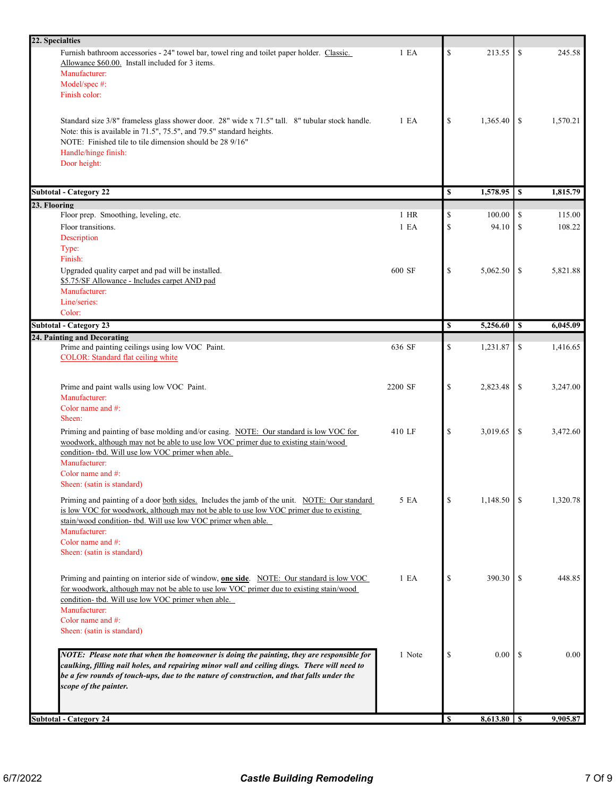| 22. Specialties                                                                                 |         |               |          |    |          |
|-------------------------------------------------------------------------------------------------|---------|---------------|----------|----|----------|
| Furnish bathroom accessories - 24" towel bar, towel ring and toilet paper holder. Classic.      | 1 E A   | $\mathbb{S}$  | 213.55   | \$ | 245.58   |
| Allowance \$60.00. Install included for 3 items.                                                |         |               |          |    |          |
| Manufacturer:                                                                                   |         |               |          |    |          |
| Model/spec #:                                                                                   |         |               |          |    |          |
| Finish color:                                                                                   |         |               |          |    |          |
|                                                                                                 |         |               |          |    |          |
| Standard size 3/8" frameless glass shower door. 28" wide x 71.5" tall. 8" tubular stock handle. | 1 E A   | \$            | 1,365.40 | \$ | 1,570.21 |
| Note: this is available in 71.5", 75.5", and 79.5" standard heights.                            |         |               |          |    |          |
| NOTE: Finished tile to tile dimension should be 28 9/16"                                        |         |               |          |    |          |
| Handle/hinge finish:                                                                            |         |               |          |    |          |
| Door height:                                                                                    |         |               |          |    |          |
|                                                                                                 |         |               |          |    |          |
| <b>Subtotal - Category 22</b>                                                                   |         | \$            | 1,578.95 | \$ | 1,815.79 |
| 23. Flooring                                                                                    |         |               |          |    |          |
| Floor prep. Smoothing, leveling, etc.                                                           | $1$ HR  | \$            | 100.00   | \$ | 115.00   |
| Floor transitions.                                                                              | 1 E A   | $\mathcal{S}$ | 94.10    | \$ | 108.22   |
| Description                                                                                     |         |               |          |    |          |
| Type:                                                                                           |         |               |          |    |          |
| Finish:                                                                                         |         |               |          |    |          |
| Upgraded quality carpet and pad will be installed.                                              | 600 SF  | \$            | 5,062.50 | \$ | 5,821.88 |
| \$5.75/SF Allowance - Includes carpet AND pad                                                   |         |               |          |    |          |
| Manufacturer:<br>Line/series:                                                                   |         |               |          |    |          |
| Color:                                                                                          |         |               |          |    |          |
|                                                                                                 |         |               |          |    |          |
| <b>Subtotal - Category 23</b>                                                                   |         | \$            | 5,256.60 | \$ | 6,045.09 |
| 24. Painting and Decorating<br>Prime and painting ceilings using low VOC Paint.                 | 636 SF  | <sup>\$</sup> | 1,231.87 | \$ | 1,416.65 |
| <b>COLOR:</b> Standard flat ceiling white                                                       |         |               |          |    |          |
|                                                                                                 |         |               |          |    |          |
|                                                                                                 |         |               |          |    |          |
| Prime and paint walls using low VOC Paint.                                                      | 2200 SF | $\mathbb{S}$  | 2,823.48 | \$ | 3,247.00 |
| Manufacturer:                                                                                   |         |               |          |    |          |
| Color name and #:                                                                               |         |               |          |    |          |
| Sheen:                                                                                          |         |               |          |    |          |
| Priming and painting of base molding and/or casing. NOTE: Our standard is low VOC for           | 410 LF  | $\mathcal{S}$ | 3,019.65 | \$ | 3,472.60 |
| woodwork, although may not be able to use low VOC primer due to existing stain/wood             |         |               |          |    |          |
| condition- tbd. Will use low VOC primer when able.                                              |         |               |          |    |          |
| Manufacturer:                                                                                   |         |               |          |    |          |
| Color name and #:                                                                               |         |               |          |    |          |
| Sheen: (satin is standard)                                                                      |         |               |          |    |          |
| Priming and painting of a door both sides. Includes the jamb of the unit. NOTE: Our standard    | 5 EA    | \$            | 1,148.50 | \$ | 1,320.78 |
| is low VOC for woodwork, although may not be able to use low VOC primer due to existing         |         |               |          |    |          |
| stain/wood condition- tbd. Will use low VOC primer when able.                                   |         |               |          |    |          |
| Manufacturer:                                                                                   |         |               |          |    |          |
| Color name and #:                                                                               |         |               |          |    |          |
| Sheen: (satin is standard)                                                                      |         |               |          |    |          |
|                                                                                                 |         |               |          |    |          |
| Priming and painting on interior side of window, one side. NOTE: Our standard is low VOC        | 1 E A   | $\mathcal{S}$ | 390.30   | \$ | 448.85   |
| for woodwork, although may not be able to use low VOC primer due to existing stain/wood         |         |               |          |    |          |
| condition- tbd. Will use low VOC primer when able.                                              |         |               |          |    |          |
| Manufacturer:                                                                                   |         |               |          |    |          |
| Color name and #:                                                                               |         |               |          |    |          |
| Sheen: (satin is standard)                                                                      |         |               |          |    |          |
|                                                                                                 |         |               |          |    |          |
| NOTE: Please note that when the homeowner is doing the painting, they are responsible for       | 1 Note  | $\mathcal{S}$ | 0.00     | S  | 0.00     |
| caulking, filling nail holes, and repairing minor wall and ceiling dings. There will need to    |         |               |          |    |          |
| be a few rounds of touch-ups, due to the nature of construction, and that falls under the       |         |               |          |    |          |
| scope of the painter.                                                                           |         |               |          |    |          |
|                                                                                                 |         |               |          |    |          |
|                                                                                                 |         |               |          |    |          |
| <b>Subtotal - Category 24</b>                                                                   |         | <b>S</b>      |          |    | 9,905.87 |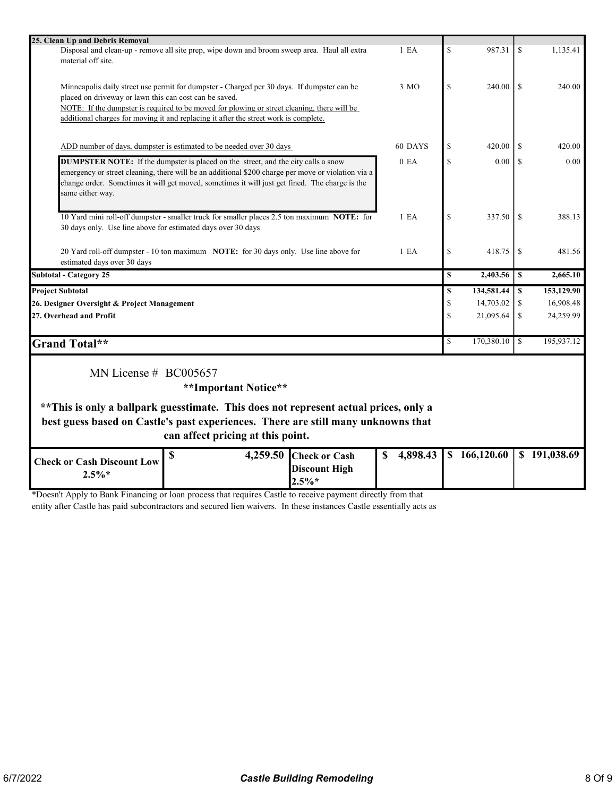| 25. Clean Up and Debris Removal                                                                    |                  |              |              |               |              |
|----------------------------------------------------------------------------------------------------|------------------|--------------|--------------|---------------|--------------|
| Disposal and clean-up - remove all site prep, wipe down and broom sweep area. Haul all extra       | 1 E A            | \$           | 987.31       | \$            | 1,135.41     |
| material off site.                                                                                 |                  |              |              |               |              |
|                                                                                                    |                  |              |              |               |              |
|                                                                                                    |                  |              |              |               |              |
| Minneapolis daily street use permit for dumpster - Charged per 30 days. If dumpster can be         | 3 MO             | \$           | 240.00       | <sup>\$</sup> | 240.00       |
| placed on driveway or lawn this can cost can be saved.                                             |                  |              |              |               |              |
| NOTE: If the dumpster is required to be moved for plowing or street cleaning, there will be        |                  |              |              |               |              |
| additional charges for moving it and replacing it after the street work is complete.               |                  |              |              |               |              |
|                                                                                                    |                  |              |              |               |              |
| ADD number of days, dumpster is estimated to be needed over 30 days                                | 60 DAYS          | \$           | 420.00       | \$            | 420.00       |
| <b>DUMPSTER NOTE:</b> If the dumpster is placed on the street, and the city calls a snow           | 0 E <sub>A</sub> | \$           | 0.00         | <sup>\$</sup> | 0.00         |
|                                                                                                    |                  |              |              |               |              |
| emergency or street cleaning, there will be an additional \$200 charge per move or violation via a |                  |              |              |               |              |
| change order. Sometimes it will get moved, sometimes it will just get fined. The charge is the     |                  |              |              |               |              |
| same either way.                                                                                   |                  |              |              |               |              |
|                                                                                                    |                  |              |              |               |              |
| 10 Yard mini roll-off dumpster - smaller truck for smaller places 2.5 ton maximum NOTE: for        | 1 E <sub>A</sub> | $\mathbb{S}$ | 337.50       | <sup>\$</sup> | 388.13       |
| 30 days only. Use line above for estimated days over 30 days                                       |                  |              |              |               |              |
|                                                                                                    |                  |              |              |               |              |
| 20 Yard roll-off dumpster - 10 ton maximum NOTE: for 30 days only. Use line above for              | 1 E <sub>A</sub> | $\mathbb{S}$ | 418.75       | \$            | 481.56       |
| estimated days over 30 days                                                                        |                  |              |              |               |              |
| <b>Subtotal - Category 25</b>                                                                      |                  | $\mathbf S$  | 2,403.56     | \$            | 2,665.10     |
| <b>Project Subtotal</b>                                                                            |                  | \$           | 134,581.44   | \$            | 153,129.90   |
| 26. Designer Oversight & Project Management                                                        |                  | $\mathbb{S}$ | 14,703.02    | \$            | 16,908.48    |
|                                                                                                    |                  | $\mathbf S$  | 21,095.64    | \$            | 24,259.99    |
| 27. Overhead and Profit                                                                            |                  |              |              |               |              |
|                                                                                                    |                  |              |              |               |              |
| Grand Total**                                                                                      |                  | $\mathbf S$  | 170,380.10   | <sup>\$</sup> | 195,937.12   |
|                                                                                                    |                  |              |              |               |              |
| MN License $# BCO05657$                                                                            |                  |              |              |               |              |
|                                                                                                    |                  |              |              |               |              |
|                                                                                                    |                  |              |              |               |              |
| **Important Notice**                                                                               |                  |              |              |               |              |
|                                                                                                    |                  |              |              |               |              |
| ** This is only a ballpark guesstimate. This does not represent actual prices, only a              |                  |              |              |               |              |
| best guess based on Castle's past experiences. There are still many unknowns that                  |                  |              |              |               |              |
| can affect pricing at this point.                                                                  |                  |              |              |               |              |
|                                                                                                    |                  |              |              |               |              |
| \$<br>4,259.50 Check or Cash                                                                       | 4,898.43<br>S    |              | \$166,120.60 |               | \$191,038.69 |
| <b>Check or Cash Discount Low</b><br><b>Discount High</b><br>$2.5\%*$<br>$2.5\%*$                  |                  |              |              |               |              |

\*Doesn't Apply to Bank Financing or loan process that requires Castle to receive payment directly from that

entity after Castle has paid subcontractors and secured lien waivers. In these instances Castle essentially acts as